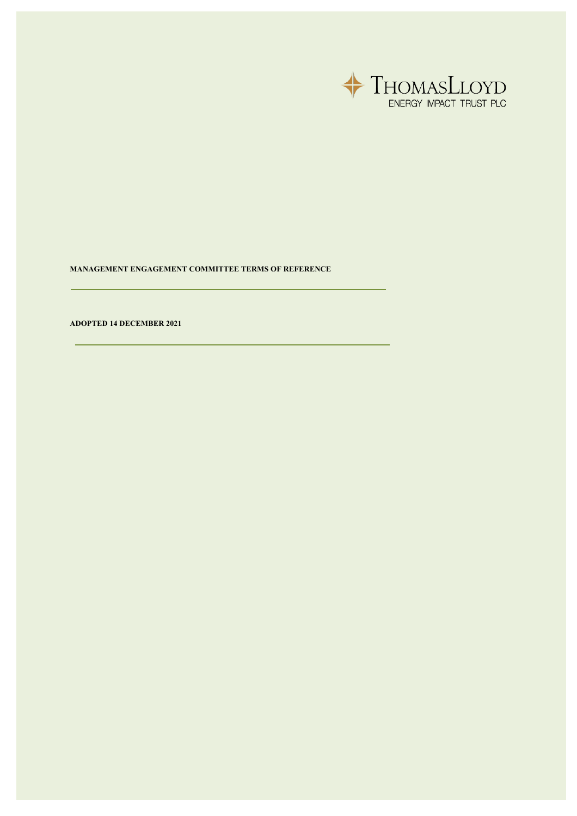

**MANAGEMENT ENGAGEMENT COMMITTEE TERMS OF REFERENCE**

**ADOPTED 14 DECEMBER 2021**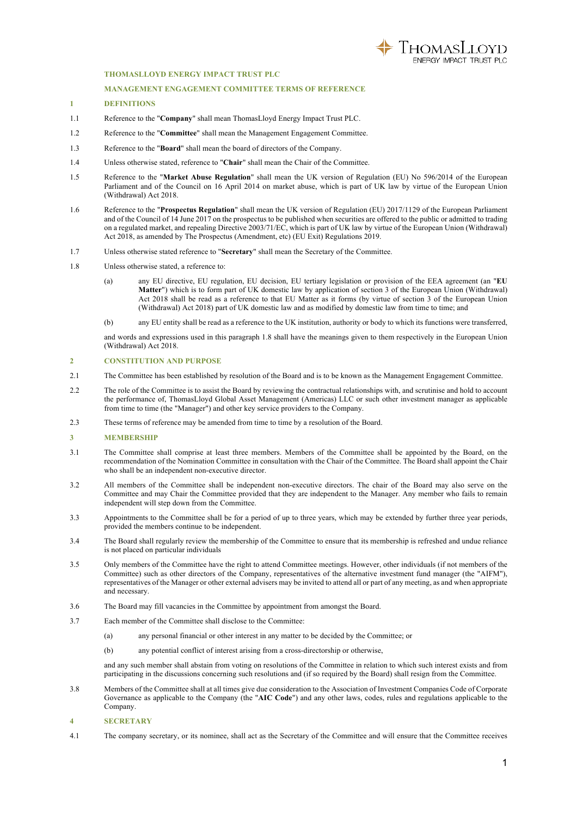

# **THOMASLLOYD ENERGY IMPACT TRUST PLC**

### **MANAGEMENT ENGAGEMENT COMMITTEE TERMS OF REFERENCE**

# **1 DEFINITIONS**

- 1.1 Reference to the "**Company**" shall mean ThomasLloyd Energy Impact Trust PLC.
- 1.2 Reference to the "**Committee**" shall mean the Management Engagement Committee.
- 1.3 Reference to the "**Board**" shall mean the board of directors of the Company.
- 1.4 Unless otherwise stated, reference to "**Chair**" shall mean the Chair of the Committee.
- 1.5 Reference to the "**Market Abuse Regulation**" shall mean the UK version of Regulation (EU) No 596/2014 of the European Parliament and of the Council on 16 April 2014 on market abuse, which is part of UK law by virtue of the European Union (Withdrawal) Act 2018.
- 1.6 Reference to the "**Prospectus Regulation**" shall mean the UK version of Regulation (EU) 2017/1129 of the European Parliament and of the Council of 14 June 2017 on the prospectus to be published when securities are offered to the public or admitted to trading on a regulated market, and repealing Directive 2003/71/EC, which is part of UK law by virtue of the European Union (Withdrawal) Act 2018, as amended by The Prospectus (Amendment, etc) (EU Exit) Regulations 2019.
- 1.7 Unless otherwise stated reference to "**Secretary**" shall mean the Secretary of the Committee.
- 1.8 Unless otherwise stated, a reference to:
	- (a) any EU directive, EU regulation, EU decision, EU tertiary legislation or provision of the EEA agreement (an "**EU Matter**") which is to form part of UK domestic law by application of section 3 of the European Union (Withdrawal) Act 2018 shall be read as a reference to that EU Matter as it forms (by virtue of section 3 of the European Union (Withdrawal) Act 2018) part of UK domestic law and as modified by domestic law from time to time; and
	- (b) any EU entity shall be read as a reference to the UK institution, authority or body to which its functions were transferred,

and words and expressions used in this paragraph 1.8 shall have the meanings given to them respectively in the European Union (Withdrawal) Act 2018.

#### **2 CONSTITUTION AND PURPOSE**

- 2.1 The Committee has been established by resolution of the Board and is to be known as the Management Engagement Committee.
- 2.2 The role of the Committee is to assist the Board by reviewing the contractual relationships with, and scrutinise and hold to account the performance of, ThomasLloyd Global Asset Management (Americas) LLC or such other investment manager as applicable from time to time (the "Manager") and other key service providers to the Company.
- 2.3 These terms of reference may be amended from time to time by a resolution of the Board.

#### **3 MEMBERSHIP**

- 3.1 The Committee shall comprise at least three members. Members of the Committee shall be appointed by the Board, on the recommendation of the Nomination Committee in consultation with the Chair of the Committee. The Board shall appoint the Chair who shall be an independent non-executive director.
- 3.2 All members of the Committee shall be independent non-executive directors. The chair of the Board may also serve on the Committee and may Chair the Committee provided that they are independent to the Manager. Any member who fails to remain independent will step down from the Committee.
- 3.3 Appointments to the Committee shall be for a period of up to three years, which may be extended by further three year periods, provided the members continue to be independent.
- 3.4 The Board shall regularly review the membership of the Committee to ensure that its membership is refreshed and undue reliance is not placed on particular individuals
- 3.5 Only members of the Committee have the right to attend Committee meetings. However, other individuals (if not members of the Committee) such as other directors of the Company, representatives of the alternative investment fund manager (the "AIFM"), representatives of the Manager or other external advisers may be invited to attend all or part of any meeting, as and when appropriate and necessary.
- 3.6 The Board may fill vacancies in the Committee by appointment from amongst the Board.
- 3.7 Each member of the Committee shall disclose to the Committee:
	- (a) any personal financial or other interest in any matter to be decided by the Committee; or
	- (b) any potential conflict of interest arising from a cross-directorship or otherwise,

and any such member shall abstain from voting on resolutions of the Committee in relation to which such interest exists and from participating in the discussions concerning such resolutions and (if so required by the Board) shall resign from the Committee.

- 3.8 Members of the Committee shall at all times give due consideration to the Association of Investment Companies Code of Corporate Governance as applicable to the Company (the "**AIC Code**") and any other laws, codes, rules and regulations applicable to the Company.
- **4 SECRETARY**
- 4.1 The company secretary, or its nominee, shall act as the Secretary of the Committee and will ensure that the Committee receives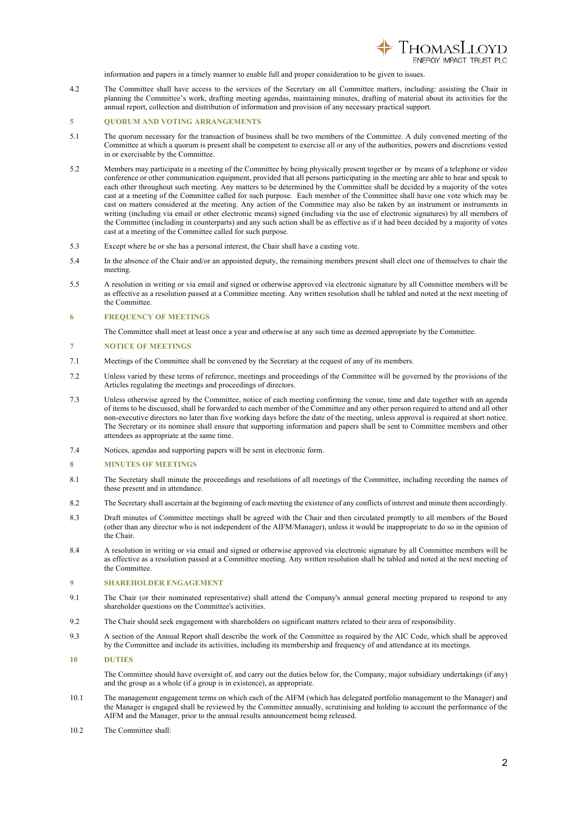

information and papers in a timely manner to enable full and proper consideration to be given to issues.

4.2 The Committee shall have access to the services of the Secretary on all Committee matters, including: assisting the Chair in planning the Committee's work, drafting meeting agendas, maintaining minutes, drafting of material about its activities for the annual report, collection and distribution of information and provision of any necessary practical support.

# **5 QUORUM AND VOTING ARRANGEMENTS**

- 5.1 The quorum necessary for the transaction of business shall be two members of the Committee. A duly convened meeting of the Committee at which a quorum is present shall be competent to exercise all or any of the authorities, powers and discretions vested in or exercisable by the Committee.
- 5.2 Members may participate in a meeting of the Committee by being physically present together or by means of a telephone or video conference or other communication equipment, provided that all persons participating in the meeting are able to hear and speak to each other throughout such meeting. Any matters to be determined by the Committee shall be decided by a majority of the votes cast at a meeting of the Committee called for such purpose. Each member of the Committee shall have one vote which may be cast on matters considered at the meeting. Any action of the Committee may also be taken by an instrument or instruments in writing (including via email or other electronic means) signed (including via the use of electronic signatures) by all members of the Committee (including in counterparts) and any such action shall be as effective as if it had been decided by a majority of votes cast at a meeting of the Committee called for such purpose.
- 5.3 Except where he or she has a personal interest, the Chair shall have a casting vote.
- 5.4 In the absence of the Chair and/or an appointed deputy, the remaining members present shall elect one of themselves to chair the meeting.
- 5.5 A resolution in writing or via email and signed or otherwise approved via electronic signature by all Committee members will be as effective as a resolution passed at a Committee meeting. Any written resolution shall be tabled and noted at the next meeting of the Committee.

### **6 FREQUENCY OF MEETINGS**

The Committee shall meet at least once a year and otherwise at any such time as deemed appropriate by the Committee.

## **7 NOTICE OF MEETINGS**

- 7.1 Meetings of the Committee shall be convened by the Secretary at the request of any of its members.
- 7.2 Unless varied by these terms of reference, meetings and proceedings of the Committee will be governed by the provisions of the Articles regulating the meetings and proceedings of directors.
- 7.3 Unless otherwise agreed by the Committee, notice of each meeting confirming the venue, time and date together with an agenda of items to be discussed, shall be forwarded to each member of the Committee and any other person required to attend and all other non-executive directors no later than five working days before the date of the meeting, unless approval is required at short notice. The Secretary or its nominee shall ensure that supporting information and papers shall be sent to Committee members and other attendees as appropriate at the same time.
- 7.4 Notices, agendas and supporting papers will be sent in electronic form.

#### **8 MINUTES OF MEETINGS**

- 8.1 The Secretary shall minute the proceedings and resolutions of all meetings of the Committee, including recording the names of those present and in attendance.
- 8.2 The Secretary shall ascertain at the beginning of each meeting the existence of any conflicts of interest and minute them accordingly.
- 8.3 Draft minutes of Committee meetings shall be agreed with the Chair and then circulated promptly to all members of the Board (other than any director who is not independent of the AIFM/Manager), unless it would be inappropriate to do so in the opinion of the Chair.
- 8.4 A resolution in writing or via email and signed or otherwise approved via electronic signature by all Committee members will be as effective as a resolution passed at a Committee meeting. Any written resolution shall be tabled and noted at the next meeting of the Committee.

### **9 SHAREHOLDER ENGAGEMENT**

- 9.1 The Chair (or their nominated representative) shall attend the Company's annual general meeting prepared to respond to any shareholder questions on the Committee's activities.
- 9.2 The Chair should seek engagement with shareholders on significant matters related to their area of responsibility.
- 9.3 A section of the Annual Report shall describe the work of the Committee as required by the AIC Code, which shall be approved by the Committee and include its activities, including its membership and frequency of and attendance at its meetings.
- **10 DUTIES**

The Committee should have oversight of, and carry out the duties below for, the Company, major subsidiary undertakings (if any) and the group as a whole (if a group is in existence), as appropriate.

- 10.1 The management engagement terms on which each of the AIFM (which has delegated portfolio management to the Manager) and the Manager is engaged shall be reviewed by the Committee annually, scrutinising and holding to account the performance of the AIFM and the Manager, prior to the annual results announcement being released.
- 10.2 The Committee shall: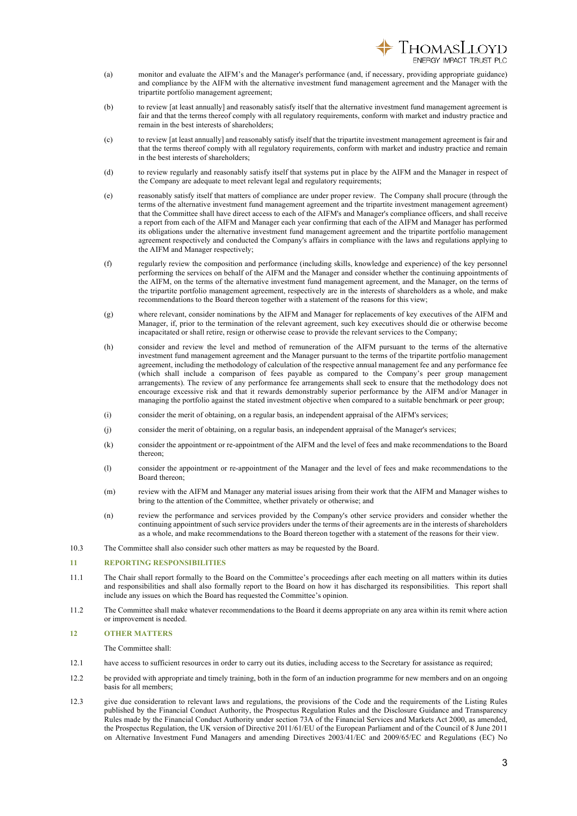

- (a) monitor and evaluate the AIFM's and the Manager's performance (and, if necessary, providing appropriate guidance) and compliance by the AIFM with the alternative investment fund management agreement and the Manager with the tripartite portfolio management agreement;
- (b) to review [at least annually] and reasonably satisfy itself that the alternative investment fund management agreement is fair and that the terms thereof comply with all regulatory requirements, conform with market and industry practice and remain in the best interests of shareholders;
- (c) to review [at least annually] and reasonably satisfy itself that the tripartite investment management agreement is fair and that the terms thereof comply with all regulatory requirements, conform with market and industry practice and remain in the best interests of shareholders;
- (d) to review regularly and reasonably satisfy itself that systems put in place by the AIFM and the Manager in respect of the Company are adequate to meet relevant legal and regulatory requirements;
- (e) reasonably satisfy itself that matters of compliance are under proper review. The Company shall procure (through the terms of the alternative investment fund management agreement and the tripartite investment management agreement) that the Committee shall have direct access to each of the AIFM's and Manager's compliance officers, and shall receive a report from each of the AIFM and Manager each year confirming that each of the AIFM and Manager has performed its obligations under the alternative investment fund management agreement and the tripartite portfolio management agreement respectively and conducted the Company's affairs in compliance with the laws and regulations applying to the AIFM and Manager respectively;
- (f) regularly review the composition and performance (including skills, knowledge and experience) of the key personnel performing the services on behalf of the AIFM and the Manager and consider whether the continuing appointments of the AIFM, on the terms of the alternative investment fund management agreement, and the Manager, on the terms of the tripartite portfolio management agreement, respectively are in the interests of shareholders as a whole, and make recommendations to the Board thereon together with a statement of the reasons for this view;
- (g) where relevant, consider nominations by the AIFM and Manager for replacements of key executives of the AIFM and Manager, if, prior to the termination of the relevant agreement, such key executives should die or otherwise become incapacitated or shall retire, resign or otherwise cease to provide the relevant services to the Company;
- (h) consider and review the level and method of remuneration of the AIFM pursuant to the terms of the alternative investment fund management agreement and the Manager pursuant to the terms of the tripartite portfolio management agreement, including the methodology of calculation of the respective annual management fee and any performance fee (which shall include a comparison of fees payable as compared to the Company's peer group management arrangements). The review of any performance fee arrangements shall seek to ensure that the methodology does not encourage excessive risk and that it rewards demonstrably superior performance by the AIFM and/or Manager in managing the portfolio against the stated investment objective when compared to a suitable benchmark or peer group;
- (i) consider the merit of obtaining, on a regular basis, an independent appraisal of the AIFM's services;
- (j) consider the merit of obtaining, on a regular basis, an independent appraisal of the Manager's services;
- (k) consider the appointment or re-appointment of the AIFM and the level of fees and make recommendations to the Board thereon;
- (l) consider the appointment or re-appointment of the Manager and the level of fees and make recommendations to the Board thereon;
- (m) review with the AIFM and Manager any material issues arising from their work that the AIFM and Manager wishes to bring to the attention of the Committee, whether privately or otherwise; and
- (n) review the performance and services provided by the Company's other service providers and consider whether the continuing appointment of such service providers under the terms of their agreements are in the interests of shareholders as a whole, and make recommendations to the Board thereon together with a statement of the reasons for their view.
- 10.3 The Committee shall also consider such other matters as may be requested by the Board.

#### **11 REPORTING RESPONSIBILITIES**

- 11.1 The Chair shall report formally to the Board on the Committee's proceedings after each meeting on all matters within its duties and responsibilities and shall also formally report to the Board on how it has discharged its responsibilities. This report shall include any issues on which the Board has requested the Committee's opinion.
- 11.2 The Committee shall make whatever recommendations to the Board it deems appropriate on any area within its remit where action or improvement is needed.

# **12 OTHER MATTERS**

The Committee shall:

- 12.1 have access to sufficient resources in order to carry out its duties, including access to the Secretary for assistance as required;
- 12.2 be provided with appropriate and timely training, both in the form of an induction programme for new members and on an ongoing basis for all members;
- 12.3 give due consideration to relevant laws and regulations, the provisions of the Code and the requirements of the Listing Rules published by the Financial Conduct Authority, the Prospectus Regulation Rules and the Disclosure Guidance and Transparency Rules made by the Financial Conduct Authority under section 73A of the Financial Services and Markets Act 2000, as amended, the Prospectus Regulation, the UK version of Directive 2011/61/EU of the European Parliament and of the Council of 8 June 2011 on Alternative Investment Fund Managers and amending Directives 2003/41/EC and 2009/65/EC and Regulations (EC) No